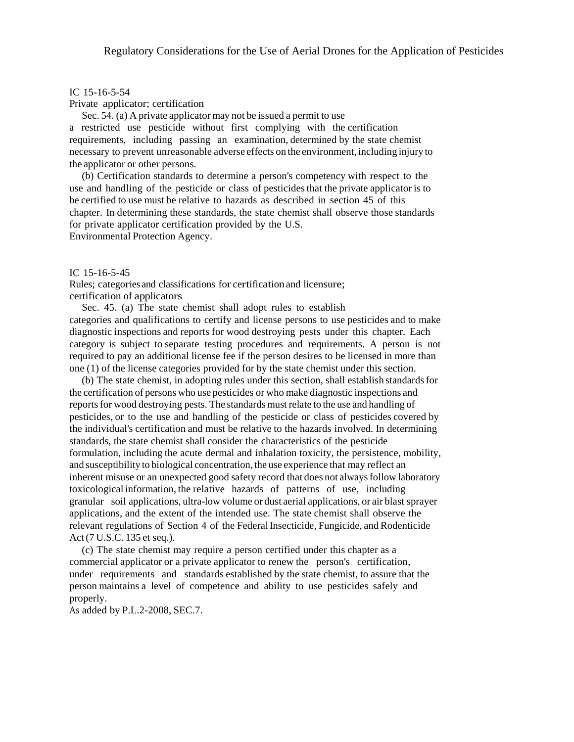# IC 15-16-5-54

Private applicator; certification

Sec. 54. (a) A private applicator may not be issued a permit to use a restricted use pesticide without first complying with the certification requirements, including passing an examination, determined by the state chemist necessary to prevent unreasonable adverse effects on the environment, including injury to the applicator or other persons.

(b) Certification standards to determine a person's competency with respect to the use and handling of the pesticide or class of pesticides that the private applicator is to be certified to use must be relative to hazards as described in section 45 of this chapter. In determining these standards, the state chemist shall observe those standards for private applicator certification provided by the U.S. Environmental Protection Agency.

## IC 15-16-5-45

Rules; categories and classifications for certification and licensure; certification of applicators

Sec. 45. (a) The state chemist shall adopt rules to establish categories and qualifications to certify and license persons to use pesticides and to make diagnostic inspections and reports for wood destroying pests under this chapter. Each category is subject to separate testing procedures and requirements. A person is not required to pay an additional license fee if the person desires to be licensed in more than one (1) of the license categories provided for by the state chemist under this section.

(b) The state chemist, in adopting rules under this section, shall establish standards for the certification of persons who use pesticides or who make diagnostic inspections and reports for wood destroying pests. The standards must relate to the use and handling of pesticides, or to the use and handling of the pesticide or class of pesticides covered by the individual's certification and must be relative to the hazards involved. In determining standards, the state chemist shall consider the characteristics of the pesticide formulation, including the acute dermal and inhalation toxicity, the persistence, mobility, and susceptibility to biological concentration, the use experience that may reflect an inherent misuse or an unexpected good safety record that does not always follow laboratory toxicological information, the relative hazards of patterns of use, including granular soil applications, ultra-low volume or dust aerial applications, or air blast sprayer applications, and the extent of the intended use. The state chemist shall observe the relevant regulations of Section 4 of the Federal Insecticide, Fungicide, and Rodenticide Act (7 U.S.C. 135 et seq.).

(c) The state chemist may require a person certified under this chapter as a commercial applicator or a private applicator to renew the person's certification, under requirements and standards established by the state chemist, to assure that the person maintains a level of competence and ability to use pesticides safely and properly.

As added by P.L.2-2008, SEC.7.